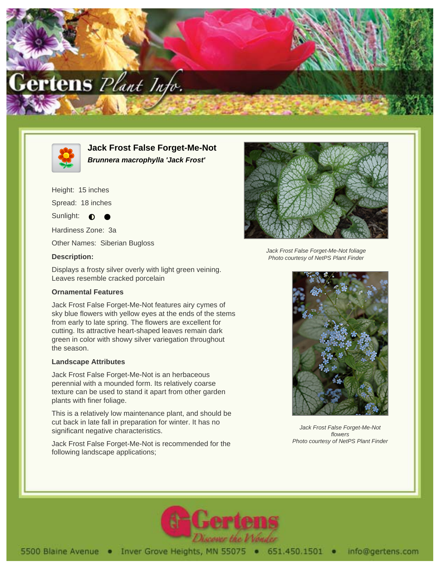



**Jack Frost False Forget-Me-Not Brunnera macrophylla 'Jack Frost'**

Height: 15 inches

Spread: 18 inches

Sunlight:  $\bigcirc$ 

Hardiness Zone: 3a

Other Names: Siberian Bugloss

# **Description:**

Displays a frosty silver overly with light green veining. Leaves resemble cracked porcelain

# **Ornamental Features**

Jack Frost False Forget-Me-Not features airy cymes of sky blue flowers with yellow eyes at the ends of the stems from early to late spring. The flowers are excellent for cutting. Its attractive heart-shaped leaves remain dark green in color with showy silver variegation throughout the season.

# **Landscape Attributes**

Jack Frost False Forget-Me-Not is an herbaceous perennial with a mounded form. Its relatively coarse texture can be used to stand it apart from other garden plants with finer foliage.

This is a relatively low maintenance plant, and should be cut back in late fall in preparation for winter. It has no significant negative characteristics.

Jack Frost False Forget-Me-Not is recommended for the following landscape applications;



Jack Frost False Forget-Me-Not foliage Photo courtesy of NetPS Plant Finder



Jack Frost False Forget-Me-Not flowers Photo courtesy of NetPS Plant Finder